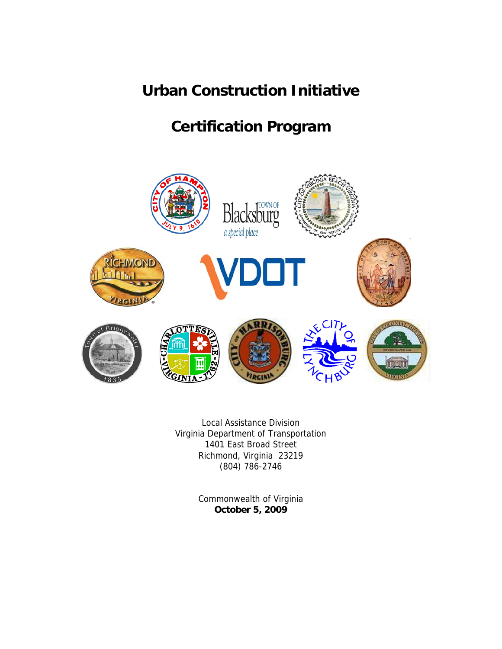# **Urban Construction Initiative**

# **Certification Program**



Local Assistance Division Virginia Department of Transportation 1401 East Broad Street Richmond, Virginia 23219 (804) 786-2746

> Commonwealth of Virginia **October 5, 2009**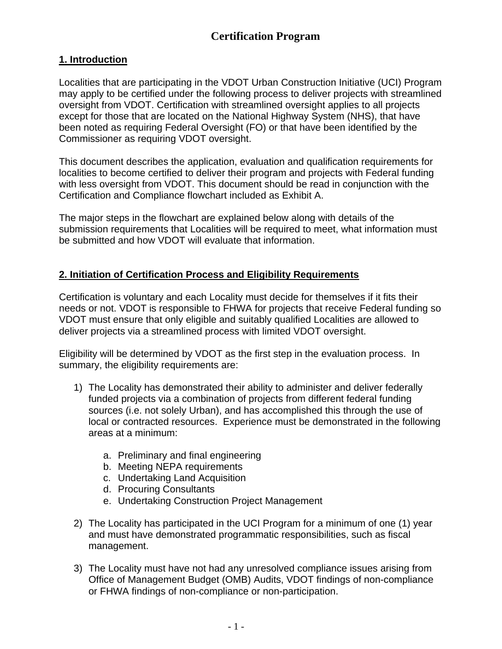# **Certification Program**

## **1. Introduction**

Localities that are participating in the VDOT Urban Construction Initiative (UCI) Program may apply to be certified under the following process to deliver projects with streamlined oversight from VDOT. Certification with streamlined oversight applies to all projects except for those that are located on the National Highway System (NHS), that have been noted as requiring Federal Oversight (FO) or that have been identified by the Commissioner as requiring VDOT oversight.

This document describes the application, evaluation and qualification requirements for localities to become certified to deliver their program and projects with Federal funding with less oversight from VDOT. This document should be read in conjunction with the Certification and Compliance flowchart included as Exhibit A.

The major steps in the flowchart are explained below along with details of the submission requirements that Localities will be required to meet, what information must be submitted and how VDOT will evaluate that information.

# **2. Initiation of Certification Process and Eligibility Requirements**

Certification is voluntary and each Locality must decide for themselves if it fits their needs or not. VDOT is responsible to FHWA for projects that receive Federal funding so VDOT must ensure that only eligible and suitably qualified Localities are allowed to deliver projects via a streamlined process with limited VDOT oversight.

Eligibility will be determined by VDOT as the first step in the evaluation process. In summary, the eligibility requirements are:

- 1) The Locality has demonstrated their ability to administer and deliver federally funded projects via a combination of projects from different federal funding sources (i.e. not solely Urban), and has accomplished this through the use of local or contracted resources. Experience must be demonstrated in the following areas at a minimum:
	- a. Preliminary and final engineering
	- b. Meeting NEPA requirements
	- c. Undertaking Land Acquisition
	- d. Procuring Consultants
	- e. Undertaking Construction Project Management
- 2) The Locality has participated in the UCI Program for a minimum of one (1) year and must have demonstrated programmatic responsibilities, such as fiscal management.
- 3) The Locality must have not had any unresolved compliance issues arising from Office of Management Budget (OMB) Audits, VDOT findings of non-compliance or FHWA findings of non-compliance or non-participation.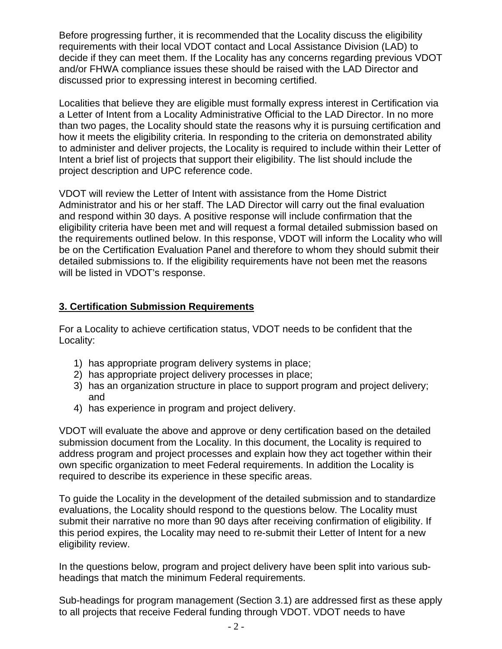Before progressing further, it is recommended that the Locality discuss the eligibility requirements with their local VDOT contact and Local Assistance Division (LAD) to decide if they can meet them. If the Locality has any concerns regarding previous VDOT and/or FHWA compliance issues these should be raised with the LAD Director and discussed prior to expressing interest in becoming certified.

Localities that believe they are eligible must formally express interest in Certification via a Letter of Intent from a Locality Administrative Official to the LAD Director. In no more than two pages, the Locality should state the reasons why it is pursuing certification and how it meets the eligibility criteria. In responding to the criteria on demonstrated ability to administer and deliver projects, the Locality is required to include within their Letter of Intent a brief list of projects that support their eligibility. The list should include the project description and UPC reference code.

VDOT will review the Letter of Intent with assistance from the Home District Administrator and his or her staff. The LAD Director will carry out the final evaluation and respond within 30 days. A positive response will include confirmation that the eligibility criteria have been met and will request a formal detailed submission based on the requirements outlined below. In this response, VDOT will inform the Locality who will be on the Certification Evaluation Panel and therefore to whom they should submit their detailed submissions to. If the eligibility requirements have not been met the reasons will be listed in VDOT's response.

# **3. Certification Submission Requirements**

For a Locality to achieve certification status, VDOT needs to be confident that the Locality:

- 1) has appropriate program delivery systems in place;
- 2) has appropriate project delivery processes in place;
- 3) has an organization structure in place to support program and project delivery; and
- 4) has experience in program and project delivery.

VDOT will evaluate the above and approve or deny certification based on the detailed submission document from the Locality. In this document, the Locality is required to address program and project processes and explain how they act together within their own specific organization to meet Federal requirements. In addition the Locality is required to describe its experience in these specific areas.

To guide the Locality in the development of the detailed submission and to standardize evaluations, the Locality should respond to the questions below. The Locality must submit their narrative no more than 90 days after receiving confirmation of eligibility. If this period expires, the Locality may need to re-submit their Letter of Intent for a new eligibility review.

In the questions below, program and project delivery have been split into various subheadings that match the minimum Federal requirements.

Sub-headings for program management (Section 3.1) are addressed first as these apply to all projects that receive Federal funding through VDOT. VDOT needs to have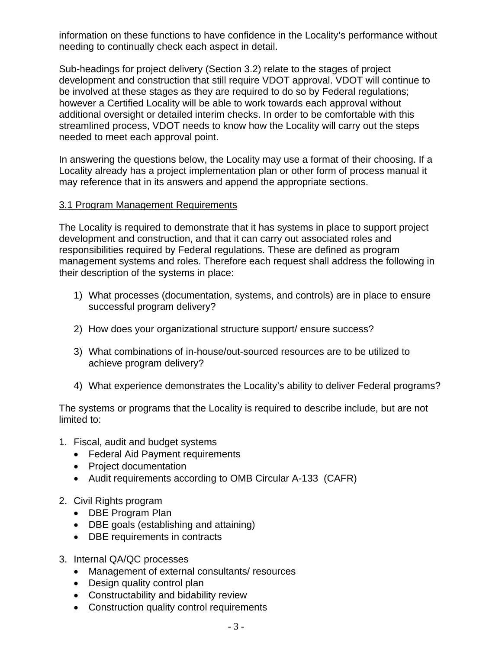information on these functions to have confidence in the Locality's performance without needing to continually check each aspect in detail.

Sub-headings for project delivery (Section 3.2) relate to the stages of project development and construction that still require VDOT approval. VDOT will continue to be involved at these stages as they are required to do so by Federal regulations; however a Certified Locality will be able to work towards each approval without additional oversight or detailed interim checks. In order to be comfortable with this streamlined process, VDOT needs to know how the Locality will carry out the steps needed to meet each approval point.

In answering the questions below, the Locality may use a format of their choosing. If a Locality already has a project implementation plan or other form of process manual it may reference that in its answers and append the appropriate sections.

#### 3.1 Program Management Requirements

The Locality is required to demonstrate that it has systems in place to support project development and construction, and that it can carry out associated roles and responsibilities required by Federal regulations. These are defined as program management systems and roles. Therefore each request shall address the following in their description of the systems in place:

- 1) What processes (documentation, systems, and controls) are in place to ensure successful program delivery?
- 2) How does your organizational structure support/ ensure success?
- 3) What combinations of in-house/out-sourced resources are to be utilized to achieve program delivery?
- 4) What experience demonstrates the Locality's ability to deliver Federal programs?

The systems or programs that the Locality is required to describe include, but are not limited to:

- 1. Fiscal, audit and budget systems
	- Federal Aid Payment requirements
	- Project documentation
	- Audit requirements according to OMB Circular A-133 (CAFR)
- 2. Civil Rights program
	- DBE Program Plan
	- DBE goals (establishing and attaining)
	- DBE requirements in contracts
- 3. Internal QA/QC processes
	- Management of external consultants/ resources
	- Design quality control plan
	- Constructability and bidability review
	- Construction quality control requirements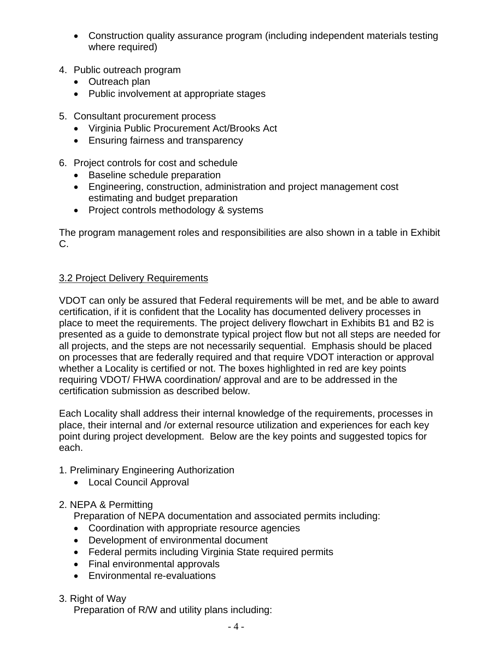- Construction quality assurance program (including independent materials testing where required)
- 4. Public outreach program
	- Outreach plan
	- Public involvement at appropriate stages
- 5. Consultant procurement process
	- Virginia Public Procurement Act/Brooks Act
	- Ensuring fairness and transparency
- 6. Project controls for cost and schedule
	- Baseline schedule preparation
	- Engineering, construction, administration and project management cost estimating and budget preparation
	- Project controls methodology & systems

The program management roles and responsibilities are also shown in a table in Exhibit C.

#### 3.2 Project Delivery Requirements

VDOT can only be assured that Federal requirements will be met, and be able to award certification, if it is confident that the Locality has documented delivery processes in place to meet the requirements. The project delivery flowchart in Exhibits B1 and B2 is presented as a guide to demonstrate typical project flow but not all steps are needed for all projects, and the steps are not necessarily sequential. Emphasis should be placed on processes that are federally required and that require VDOT interaction or approval whether a Locality is certified or not. The boxes highlighted in red are key points requiring VDOT/ FHWA coordination/ approval and are to be addressed in the certification submission as described below.

Each Locality shall address their internal knowledge of the requirements, processes in place, their internal and /or external resource utilization and experiences for each key point during project development. Below are the key points and suggested topics for each.

- 1. Preliminary Engineering Authorization
	- Local Council Approval

#### 2. NEPA & Permitting

Preparation of NEPA documentation and associated permits including:

- Coordination with appropriate resource agencies
- Development of environmental document
- Federal permits including Virginia State required permits
- Final environmental approvals
- Environmental re-evaluations
- 3. Right of Way

Preparation of R/W and utility plans including: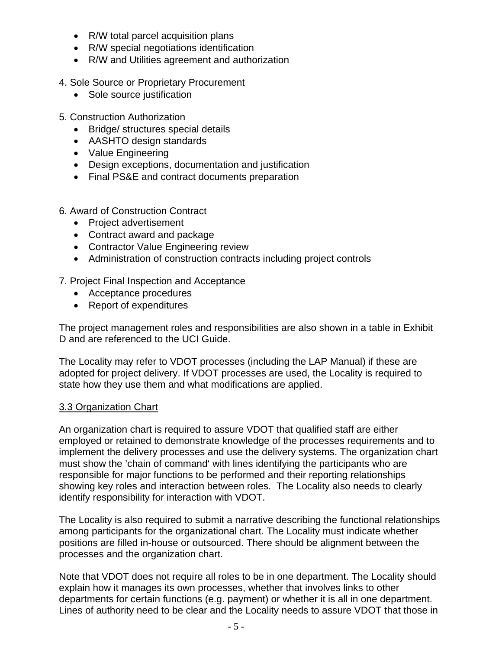- R/W total parcel acquisition plans
- R/W special negotiations identification
- R/W and Utilities agreement and authorization
- 4. Sole Source or Proprietary Procurement
	- Sole source justification
- 5. Construction Authorization
	- Bridge/ structures special details
	- AASHTO design standards
	- Value Engineering
	- Design exceptions, documentation and justification
	- Final PS&E and contract documents preparation
- 6. Award of Construction Contract
	- Project advertisement
	- Contract award and package
	- Contractor Value Engineering review
	- Administration of construction contracts including project controls
- 7. Project Final Inspection and Acceptance
	- Acceptance procedures
	- Report of expenditures

The project management roles and responsibilities are also shown in a table in Exhibit D and are referenced to the UCI Guide.

The Locality may refer to VDOT processes (including the LAP Manual) if these are adopted for project delivery. If VDOT processes are used, the Locality is required to state how they use them and what modifications are applied.

#### 3.3 Organization Chart

An organization chart is required to assure VDOT that qualified staff are either employed or retained to demonstrate knowledge of the processes requirements and to implement the delivery processes and use the delivery systems. The organization chart must show the 'chain of command' with lines identifying the participants who are responsible for major functions to be performed and their reporting relationships showing key roles and interaction between roles. The Locality also needs to clearly identify responsibility for interaction with VDOT.

The Locality is also required to submit a narrative describing the functional relationships among participants for the organizational chart. The Locality must indicate whether positions are filled in-house or outsourced. There should be alignment between the processes and the organization chart.

Note that VDOT does not require all roles to be in one department. The Locality should explain how it manages its own processes, whether that involves links to other departments for certain functions (e.g. payment) or whether it is all in one department. Lines of authority need to be clear and the Locality needs to assure VDOT that those in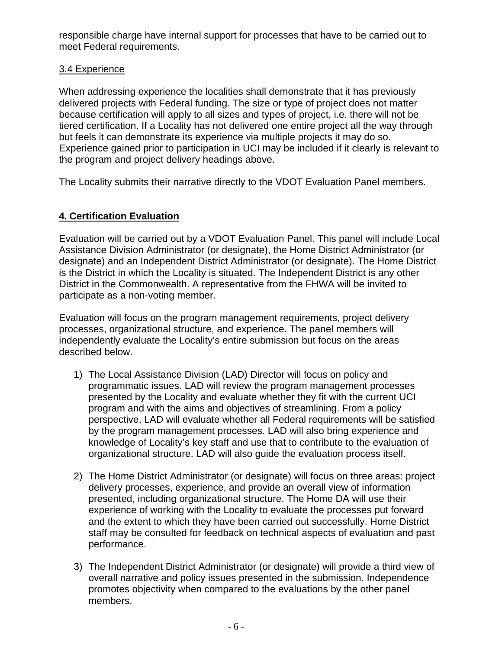responsible charge have internal support for processes that have to be carried out to meet Federal requirements.

## 3.4 Experience

When addressing experience the localities shall demonstrate that it has previously delivered projects with Federal funding. The size or type of project does not matter because certification will apply to all sizes and types of project, i.e. there will not be tiered certification. If a Locality has not delivered one entire project all the way through but feels it can demonstrate its experience via multiple projects it may do so. Experience gained prior to participation in UCI may be included if it clearly is relevant to the program and project delivery headings above.

The Locality submits their narrative directly to the VDOT Evaluation Panel members.

# **4. Certification Evaluation**

Evaluation will be carried out by a VDOT Evaluation Panel. This panel will include Local Assistance Division Administrator (or designate), the Home District Administrator (or designate) and an Independent District Administrator (or designate). The Home District is the District in which the Locality is situated. The Independent District is any other District in the Commonwealth. A representative from the FHWA will be invited to participate as a non-voting member.

Evaluation will focus on the program management requirements, project delivery processes, organizational structure, and experience. The panel members will independently evaluate the Locality's entire submission but focus on the areas described below.

- 1) The Local Assistance Division (LAD) Director will focus on policy and programmatic issues. LAD will review the program management processes presented by the Locality and evaluate whether they fit with the current UCI program and with the aims and objectives of streamlining. From a policy perspective, LAD will evaluate whether all Federal requirements will be satisfied by the program management processes. LAD will also bring experience and knowledge of Locality's key staff and use that to contribute to the evaluation of organizational structure. LAD will also guide the evaluation process itself.
- 2) The Home District Administrator (or designate) will focus on three areas: project delivery processes, experience, and provide an overall view of information presented, including organizational structure. The Home DA will use their experience of working with the Locality to evaluate the processes put forward and the extent to which they have been carried out successfully. Home District staff may be consulted for feedback on technical aspects of evaluation and past performance.
- 3) The Independent District Administrator (or designate) will provide a third view of overall narrative and policy issues presented in the submission. Independence promotes objectivity when compared to the evaluations by the other panel members.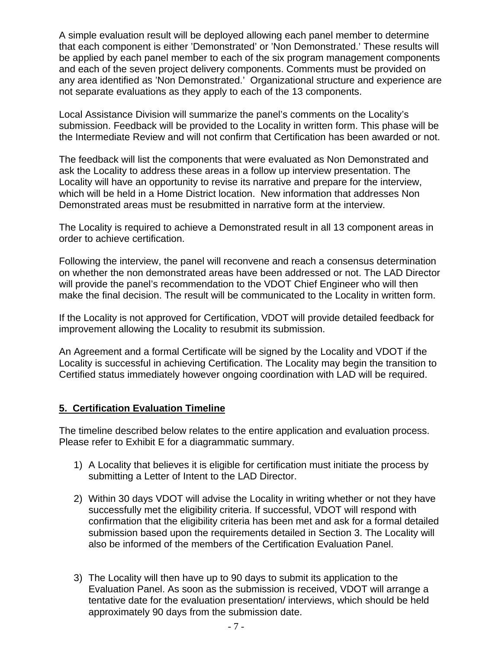A simple evaluation result will be deployed allowing each panel member to determine that each component is either 'Demonstrated' or 'Non Demonstrated.' These results will be applied by each panel member to each of the six program management components and each of the seven project delivery components. Comments must be provided on any area identified as 'Non Demonstrated.' Organizational structure and experience are not separate evaluations as they apply to each of the 13 components.

Local Assistance Division will summarize the panel's comments on the Locality's submission. Feedback will be provided to the Locality in written form. This phase will be the Intermediate Review and will not confirm that Certification has been awarded or not.

The feedback will list the components that were evaluated as Non Demonstrated and ask the Locality to address these areas in a follow up interview presentation. The Locality will have an opportunity to revise its narrative and prepare for the interview, which will be held in a Home District location. New information that addresses Non Demonstrated areas must be resubmitted in narrative form at the interview.

The Locality is required to achieve a Demonstrated result in all 13 component areas in order to achieve certification.

Following the interview, the panel will reconvene and reach a consensus determination on whether the non demonstrated areas have been addressed or not. The LAD Director will provide the panel's recommendation to the VDOT Chief Engineer who will then make the final decision. The result will be communicated to the Locality in written form.

If the Locality is not approved for Certification, VDOT will provide detailed feedback for improvement allowing the Locality to resubmit its submission.

An Agreement and a formal Certificate will be signed by the Locality and VDOT if the Locality is successful in achieving Certification. The Locality may begin the transition to Certified status immediately however ongoing coordination with LAD will be required.

#### **5. Certification Evaluation Timeline**

The timeline described below relates to the entire application and evaluation process. Please refer to Exhibit E for a diagrammatic summary.

- 1) A Locality that believes it is eligible for certification must initiate the process by submitting a Letter of Intent to the LAD Director.
- 2) Within 30 days VDOT will advise the Locality in writing whether or not they have successfully met the eligibility criteria. If successful, VDOT will respond with confirmation that the eligibility criteria has been met and ask for a formal detailed submission based upon the requirements detailed in Section 3. The Locality will also be informed of the members of the Certification Evaluation Panel.
- 3) The Locality will then have up to 90 days to submit its application to the Evaluation Panel. As soon as the submission is received, VDOT will arrange a tentative date for the evaluation presentation/ interviews, which should be held approximately 90 days from the submission date.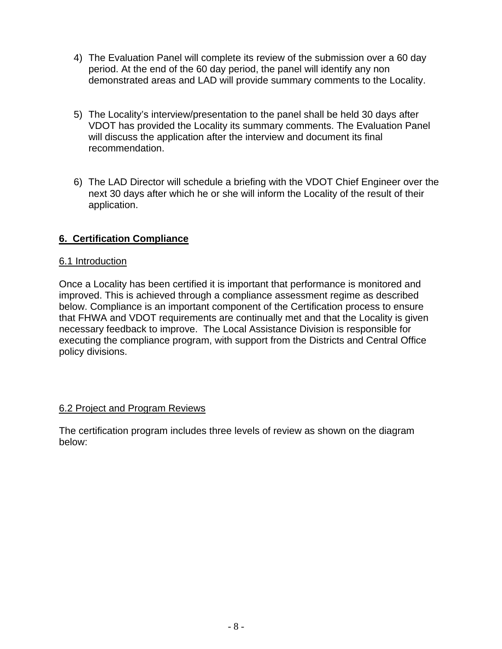- 4) The Evaluation Panel will complete its review of the submission over a 60 day period. At the end of the 60 day period, the panel will identify any non demonstrated areas and LAD will provide summary comments to the Locality.
- 5) The Locality's interview/presentation to the panel shall be held 30 days after VDOT has provided the Locality its summary comments. The Evaluation Panel will discuss the application after the interview and document its final recommendation.
- 6) The LAD Director will schedule a briefing with the VDOT Chief Engineer over the next 30 days after which he or she will inform the Locality of the result of their application.

# **6. Certification Compliance**

#### 6.1 Introduction

Once a Locality has been certified it is important that performance is monitored and improved. This is achieved through a compliance assessment regime as described below. Compliance is an important component of the Certification process to ensure that FHWA and VDOT requirements are continually met and that the Locality is given necessary feedback to improve. The Local Assistance Division is responsible for executing the compliance program, with support from the Districts and Central Office policy divisions.

#### 6.2 Project and Program Reviews

The certification program includes three levels of review as shown on the diagram below: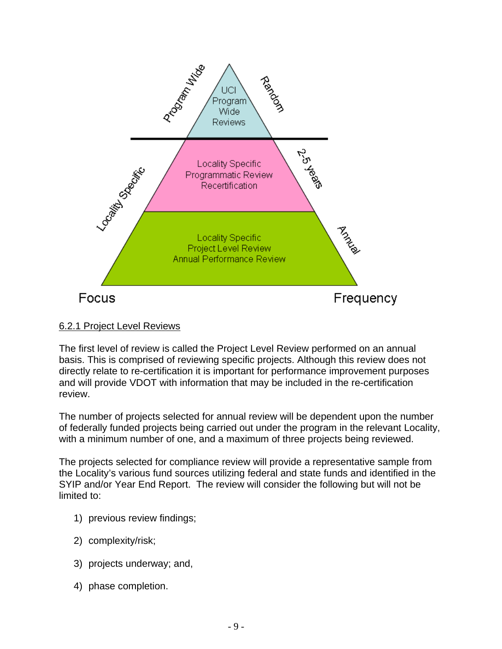

6.2.1 Project Level Reviews

The first level of review is called the Project Level Review performed on an annual basis. This is comprised of reviewing specific projects. Although this review does not directly relate to re-certification it is important for performance improvement purposes and will provide VDOT with information that may be included in the re-certification review.

The number of projects selected for annual review will be dependent upon the number of federally funded projects being carried out under the program in the relevant Locality, with a minimum number of one, and a maximum of three projects being reviewed.

The projects selected for compliance review will provide a representative sample from the Locality's various fund sources utilizing federal and state funds and identified in the SYIP and/or Year End Report. The review will consider the following but will not be limited to:

- 1) previous review findings;
- 2) complexity/risk;
- 3) projects underway; and,
- 4) phase completion.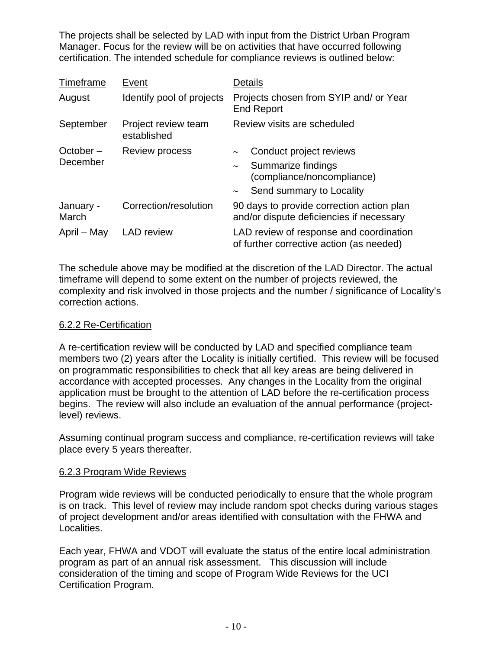The projects shall be selected by LAD with input from the District Urban Program Manager. Focus for the review will be on activities that have occurred following certification. The intended schedule for compliance reviews is outlined below:

| Timeframe             | Event                              | Details                                                                                                                                              |  |
|-----------------------|------------------------------------|------------------------------------------------------------------------------------------------------------------------------------------------------|--|
| August                | Identify pool of projects          | Projects chosen from SYIP and/ or Year<br><b>End Report</b>                                                                                          |  |
| September             | Project review team<br>established | Review visits are scheduled                                                                                                                          |  |
| October –<br>December | Review process                     | Conduct project reviews<br>$\thicksim$<br>Summarize findings<br>$\thicksim$<br>(compliance/noncompliance)<br>Send summary to Locality<br>$\thicksim$ |  |
| January -<br>March    | Correction/resolution              | 90 days to provide correction action plan<br>and/or dispute deficiencies if necessary                                                                |  |
| April – May           | <b>LAD</b> review                  | LAD review of response and coordination<br>of further corrective action (as needed)                                                                  |  |

The schedule above may be modified at the discretion of the LAD Director. The actual timeframe will depend to some extent on the number of projects reviewed, the complexity and risk involved in those projects and the number / significance of Locality's correction actions.

#### 6.2.2 Re-Certification

A re-certification review will be conducted by LAD and specified compliance team members two (2) years after the Locality is initially certified. This review will be focused on programmatic responsibilities to check that all key areas are being delivered in accordance with accepted processes. Any changes in the Locality from the original application must be brought to the attention of LAD before the re-certification process begins. The review will also include an evaluation of the annual performance (projectlevel) reviews.

Assuming continual program success and compliance, re-certification reviews will take place every 5 years thereafter.

#### 6.2.3 Program Wide Reviews

Program wide reviews will be conducted periodically to ensure that the whole program is on track. This level of review may include random spot checks during various stages of project development and/or areas identified with consultation with the FHWA and Localities.

Each year, FHWA and VDOT will evaluate the status of the entire local administration program as part of an annual risk assessment. This discussion will include consideration of the timing and scope of Program Wide Reviews for the UCI Certification Program.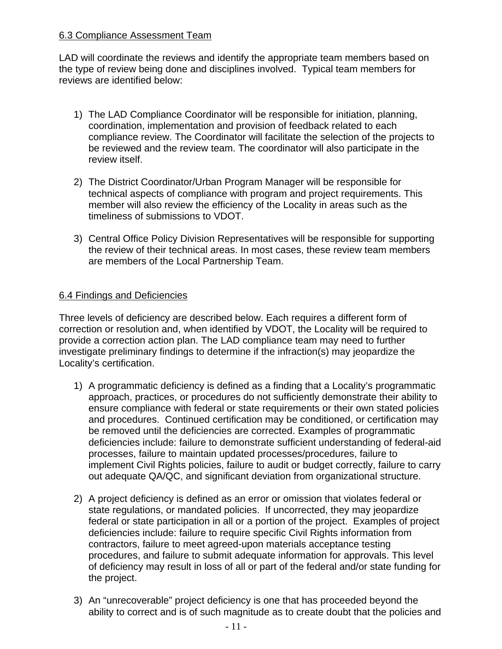#### 6.3 Compliance Assessment Team

LAD will coordinate the reviews and identify the appropriate team members based on the type of review being done and disciplines involved. Typical team members for reviews are identified below:

- 1) The LAD Compliance Coordinator will be responsible for initiation, planning, coordination, implementation and provision of feedback related to each compliance review. The Coordinator will facilitate the selection of the projects to be reviewed and the review team. The coordinator will also participate in the review itself.
- 2) The District Coordinator/Urban Program Manager will be responsible for technical aspects of compliance with program and project requirements. This member will also review the efficiency of the Locality in areas such as the timeliness of submissions to VDOT.
- 3) Central Office Policy Division Representatives will be responsible for supporting the review of their technical areas. In most cases, these review team members are members of the Local Partnership Team.

## 6.4 Findings and Deficiencies

Three levels of deficiency are described below. Each requires a different form of correction or resolution and, when identified by VDOT, the Locality will be required to provide a correction action plan. The LAD compliance team may need to further investigate preliminary findings to determine if the infraction(s) may jeopardize the Locality's certification.

- 1) A programmatic deficiency is defined as a finding that a Locality's programmatic approach, practices, or procedures do not sufficiently demonstrate their ability to ensure compliance with federal or state requirements or their own stated policies and procedures. Continued certification may be conditioned, or certification may be removed until the deficiencies are corrected. Examples of programmatic deficiencies include: failure to demonstrate sufficient understanding of federal-aid processes, failure to maintain updated processes/procedures, failure to implement Civil Rights policies, failure to audit or budget correctly, failure to carry out adequate QA/QC, and significant deviation from organizational structure.
- 2) A project deficiency is defined as an error or omission that violates federal or state regulations, or mandated policies. If uncorrected, they may jeopardize federal or state participation in all or a portion of the project. Examples of project deficiencies include: failure to require specific Civil Rights information from contractors, failure to meet agreed-upon materials acceptance testing procedures, and failure to submit adequate information for approvals. This level of deficiency may result in loss of all or part of the federal and/or state funding for the project.
- 3) An "unrecoverable" project deficiency is one that has proceeded beyond the ability to correct and is of such magnitude as to create doubt that the policies and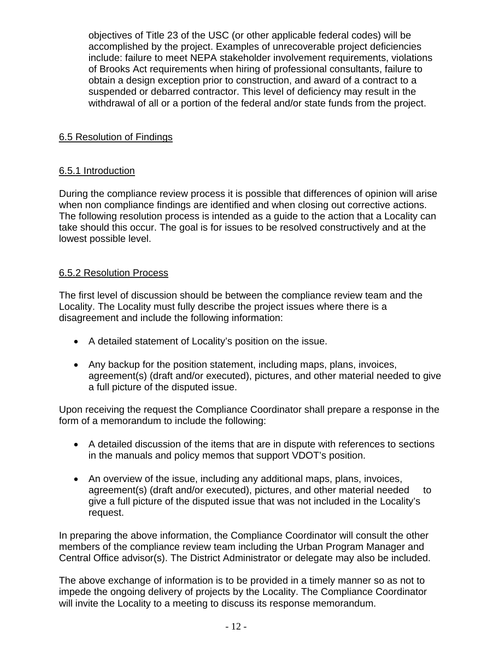objectives of Title 23 of the USC (or other applicable federal codes) will be accomplished by the project. Examples of unrecoverable project deficiencies include: failure to meet NEPA stakeholder involvement requirements, violations of Brooks Act requirements when hiring of professional consultants, failure to obtain a design exception prior to construction, and award of a contract to a suspended or debarred contractor. This level of deficiency may result in the withdrawal of all or a portion of the federal and/or state funds from the project.

## 6.5 Resolution of Findings

#### 6.5.1 Introduction

During the compliance review process it is possible that differences of opinion will arise when non compliance findings are identified and when closing out corrective actions. The following resolution process is intended as a guide to the action that a Locality can take should this occur. The goal is for issues to be resolved constructively and at the lowest possible level.

#### 6.5.2 Resolution Process

The first level of discussion should be between the compliance review team and the Locality. The Locality must fully describe the project issues where there is a disagreement and include the following information:

- A detailed statement of Locality's position on the issue.
- Any backup for the position statement, including maps, plans, invoices, agreement(s) (draft and/or executed), pictures, and other material needed to give a full picture of the disputed issue.

Upon receiving the request the Compliance Coordinator shall prepare a response in the form of a memorandum to include the following:

- A detailed discussion of the items that are in dispute with references to sections in the manuals and policy memos that support VDOT's position.
- An overview of the issue, including any additional maps, plans, invoices, agreement(s) (draft and/or executed), pictures, and other material needed to give a full picture of the disputed issue that was not included in the Locality's request.

In preparing the above information, the Compliance Coordinator will consult the other members of the compliance review team including the Urban Program Manager and Central Office advisor(s). The District Administrator or delegate may also be included.

The above exchange of information is to be provided in a timely manner so as not to impede the ongoing delivery of projects by the Locality. The Compliance Coordinator will invite the Locality to a meeting to discuss its response memorandum.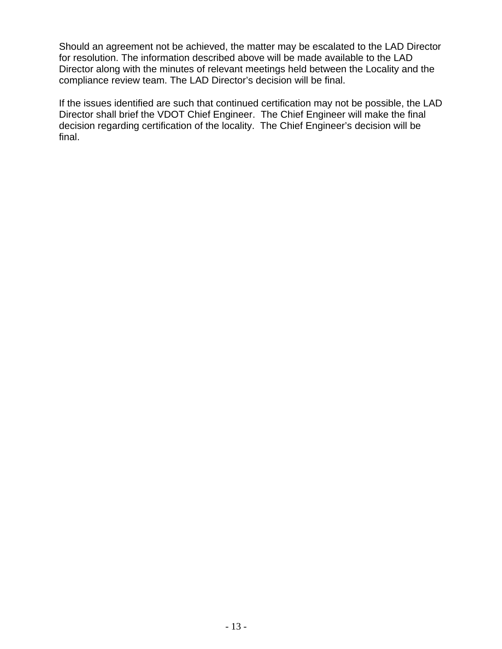Should an agreement not be achieved, the matter may be escalated to the LAD Director for resolution. The information described above will be made available to the LAD Director along with the minutes of relevant meetings held between the Locality and the compliance review team. The LAD Director's decision will be final.

If the issues identified are such that continued certification may not be possible, the LAD Director shall brief the VDOT Chief Engineer. The Chief Engineer will make the final decision regarding certification of the locality. The Chief Engineer's decision will be final.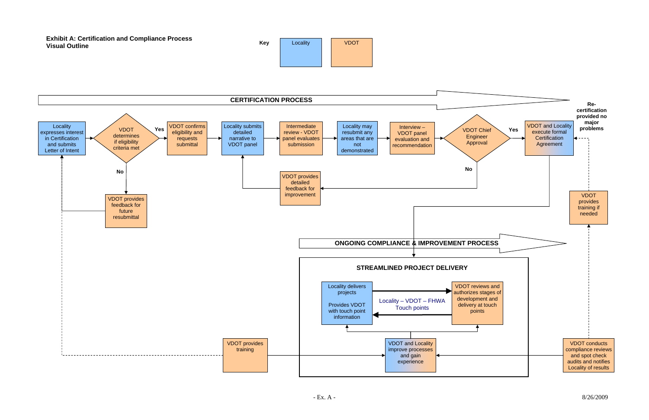



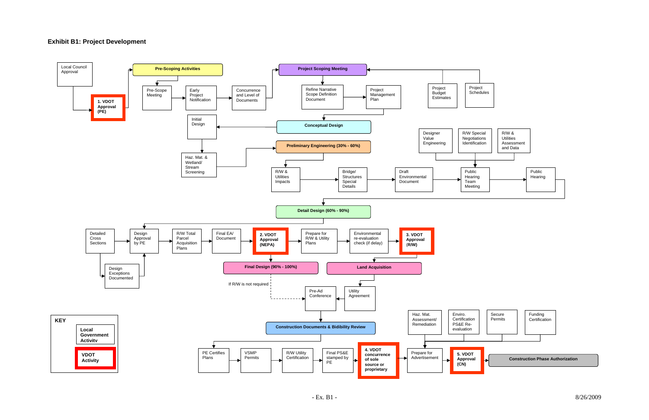### **Exhibit B1: Project Development**

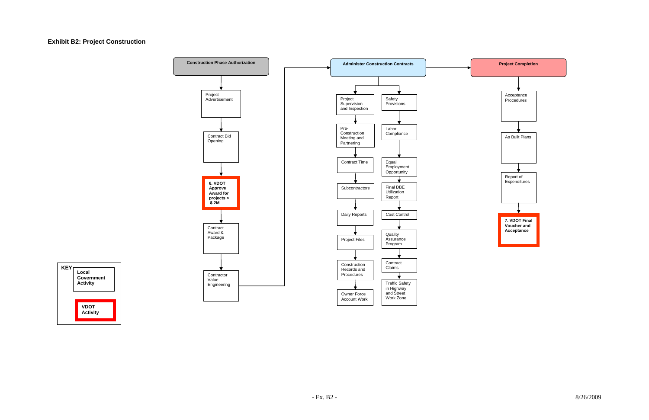

# **Exhibit B2: Project Construction**



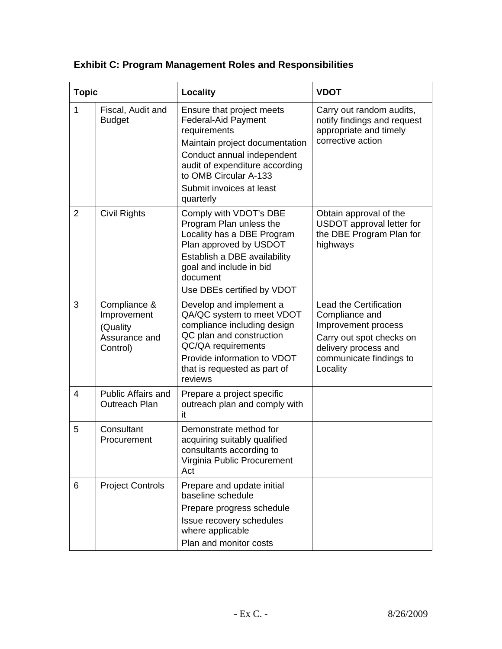| <b>Topic</b>   |                                                                      | <b>Locality</b>                                                                                                                                                                                                                             | <b>VDOT</b>                                                                                                                                                       |  |
|----------------|----------------------------------------------------------------------|---------------------------------------------------------------------------------------------------------------------------------------------------------------------------------------------------------------------------------------------|-------------------------------------------------------------------------------------------------------------------------------------------------------------------|--|
| $\mathbf{1}$   | Fiscal, Audit and<br><b>Budget</b>                                   | Ensure that project meets<br><b>Federal-Aid Payment</b><br>requirements<br>Maintain project documentation<br>Conduct annual independent<br>audit of expenditure according<br>to OMB Circular A-133<br>Submit invoices at least<br>quarterly | Carry out random audits,<br>notify findings and request<br>appropriate and timely<br>corrective action                                                            |  |
| $\overline{2}$ | Civil Rights                                                         | Comply with VDOT's DBE<br>Program Plan unless the<br>Locality has a DBE Program<br>Plan approved by USDOT<br>Establish a DBE availability<br>goal and include in bid<br>document<br>Use DBEs certified by VDOT                              | Obtain approval of the<br>USDOT approval letter for<br>the DBE Program Plan for<br>highways                                                                       |  |
| 3              | Compliance &<br>Improvement<br>(Quality<br>Assurance and<br>Control) | Develop and implement a<br>QA/QC system to meet VDOT<br>compliance including design<br>QC plan and construction<br>QC/QA requirements<br>Provide information to VDOT<br>that is requested as part of<br>reviews                             | <b>Lead the Certification</b><br>Compliance and<br>Improvement process<br>Carry out spot checks on<br>delivery process and<br>communicate findings to<br>Locality |  |
| $\overline{4}$ | <b>Public Affairs and</b><br>Outreach Plan                           | Prepare a project specific<br>outreach plan and comply with<br>it                                                                                                                                                                           |                                                                                                                                                                   |  |
| 5              | Consultant<br>Procurement                                            | Demonstrate method for<br>acquiring suitably qualified<br>consultants according to<br>Virginia Public Procurement<br>Act                                                                                                                    |                                                                                                                                                                   |  |
| 6              | <b>Project Controls</b>                                              | Prepare and update initial<br>baseline schedule<br>Prepare progress schedule<br>Issue recovery schedules<br>where applicable<br>Plan and monitor costs                                                                                      |                                                                                                                                                                   |  |

# **Exhibit C: Program Management Roles and Responsibilities**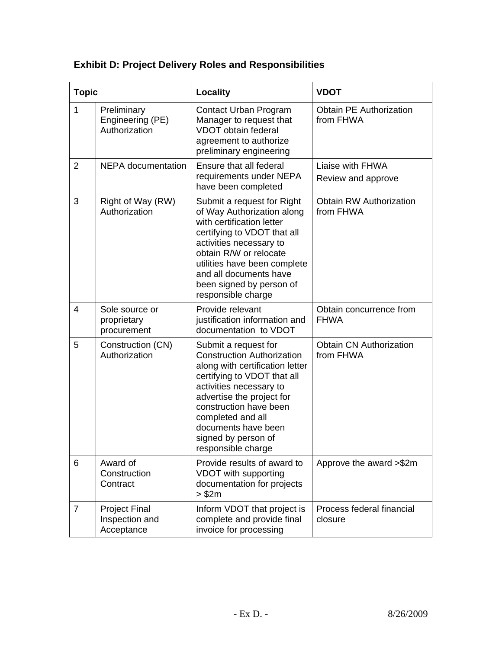# **Exhibit D: Project Delivery Roles and Responsibilities**

| <b>Topic</b>   |                                                      | <b>Locality</b>                                                                                                                                                                                                                                                                                        | <b>VDOT</b>                                 |
|----------------|------------------------------------------------------|--------------------------------------------------------------------------------------------------------------------------------------------------------------------------------------------------------------------------------------------------------------------------------------------------------|---------------------------------------------|
| 1              | Preliminary<br>Engineering (PE)<br>Authorization     | Contact Urban Program<br>Manager to request that<br><b>VDOT</b> obtain federal<br>agreement to authorize<br>preliminary engineering                                                                                                                                                                    | <b>Obtain PE Authorization</b><br>from FHWA |
| 2              | <b>NEPA</b> documentation                            | Ensure that all federal<br>requirements under NEPA<br>have been completed                                                                                                                                                                                                                              | Liaise with FHWA<br>Review and approve      |
| 3              | Right of Way (RW)<br>Authorization                   | Submit a request for Right<br>of Way Authorization along<br>with certification letter<br>certifying to VDOT that all<br>activities necessary to<br>obtain R/W or relocate<br>utilities have been complete<br>and all documents have<br>been signed by person of<br>responsible charge                  | <b>Obtain RW Authorization</b><br>from FHWA |
| $\overline{4}$ | Sole source or<br>proprietary<br>procurement         | Provide relevant<br>justification information and<br>documentation to VDOT                                                                                                                                                                                                                             | Obtain concurrence from<br><b>FHWA</b>      |
| 5              | Construction (CN)<br>Authorization                   | Submit a request for<br><b>Construction Authorization</b><br>along with certification letter<br>certifying to VDOT that all<br>activities necessary to<br>advertise the project for<br>construction have been<br>completed and all<br>documents have been<br>signed by person of<br>responsible charge | <b>Obtain CN Authorization</b><br>from FHWA |
| 6              | Award of<br>Construction<br>Contract                 | Provide results of award to<br>VDOT with supporting<br>documentation for projects<br>> \$2m                                                                                                                                                                                                            | Approve the award >\$2m                     |
| $\overline{7}$ | <b>Project Final</b><br>Inspection and<br>Acceptance | Inform VDOT that project is<br>complete and provide final<br>invoice for processing                                                                                                                                                                                                                    | Process federal financial<br>closure        |